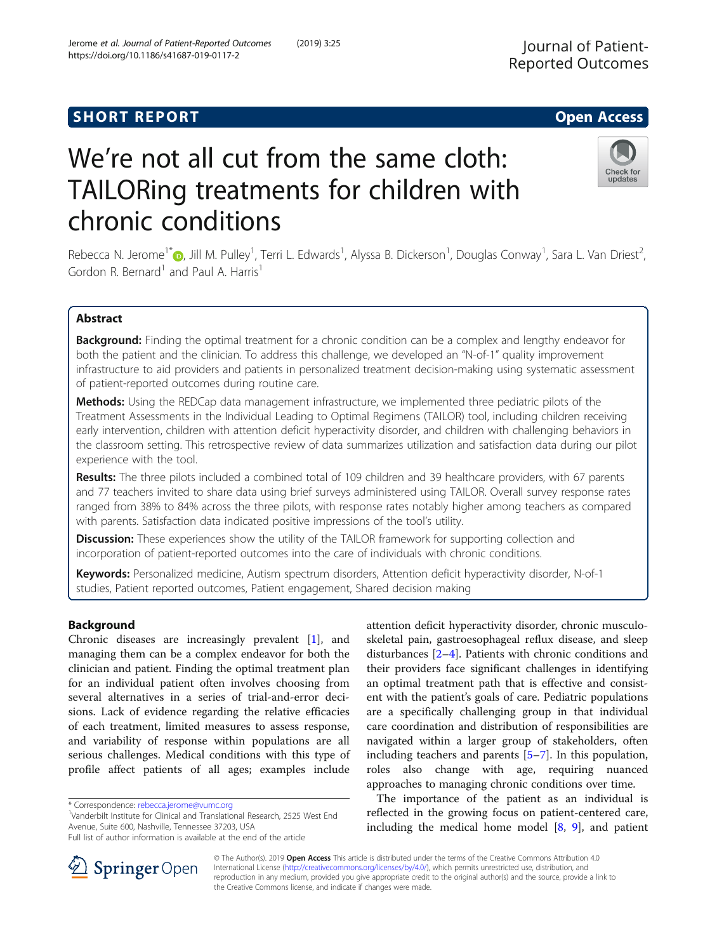## **SHORT REPORT SHORT CONSUMING THE OPEN ACCESS**

# We're not all cut from the same cloth: TAILORing treatments for children with chronic conditions

Rebecca N. Jerome<sup>1\*</sup>®, Jill M. Pulley<sup>1</sup>, Terri L. Edwards<sup>1</sup>, Alyssa B. Dickerson<sup>1</sup>, Douglas Conway<sup>1</sup>, Sara L. Van Driest<sup>2</sup> , Gordon R. Bernard<sup>1</sup> and Paul A. Harris<sup>1</sup>

## Abstract

Background: Finding the optimal treatment for a chronic condition can be a complex and lengthy endeavor for both the patient and the clinician. To address this challenge, we developed an "N-of-1" quality improvement infrastructure to aid providers and patients in personalized treatment decision-making using systematic assessment of patient-reported outcomes during routine care.

Methods: Using the REDCap data management infrastructure, we implemented three pediatric pilots of the Treatment Assessments in the Individual Leading to Optimal Regimens (TAILOR) tool, including children receiving early intervention, children with attention deficit hyperactivity disorder, and children with challenging behaviors in the classroom setting. This retrospective review of data summarizes utilization and satisfaction data during our pilot experience with the tool.

Results: The three pilots included a combined total of 109 children and 39 healthcare providers, with 67 parents and 77 teachers invited to share data using brief surveys administered using TAILOR. Overall survey response rates ranged from 38% to 84% across the three pilots, with response rates notably higher among teachers as compared with parents. Satisfaction data indicated positive impressions of the tool's utility.

**Discussion:** These experiences show the utility of the TAILOR framework for supporting collection and incorporation of patient-reported outcomes into the care of individuals with chronic conditions.

Keywords: Personalized medicine, Autism spectrum disorders, Attention deficit hyperactivity disorder, N-of-1 studies, Patient reported outcomes, Patient engagement, Shared decision making

## Background

Chronic diseases are increasingly prevalent [\[1](#page-6-0)], and managing them can be a complex endeavor for both the clinician and patient. Finding the optimal treatment plan for an individual patient often involves choosing from several alternatives in a series of trial-and-error decisions. Lack of evidence regarding the relative efficacies of each treatment, limited measures to assess response, and variability of response within populations are all serious challenges. Medical conditions with this type of profile affect patients of all ages; examples include

\* Correspondence: [rebecca.jerome@vumc.org](mailto:rebecca.jerome@vumc.org) <sup>1</sup>

<sup>1</sup>Vanderbilt Institute for Clinical and Translational Research, 2525 West End Avenue, Suite 600, Nashville, Tennessee 37203, USA

skeletal pain, gastroesophageal reflux disease, and sleep disturbances [\[2](#page-6-0)–[4](#page-6-0)]. Patients with chronic conditions and their providers face significant challenges in identifying an optimal treatment path that is effective and consistent with the patient's goals of care. Pediatric populations are a specifically challenging group in that individual care coordination and distribution of responsibilities are navigated within a larger group of stakeholders, often including teachers and parents [[5](#page-6-0)–[7\]](#page-6-0). In this population, roles also change with age, requiring nuanced approaches to managing chronic conditions over time.

attention deficit hyperactivity disorder, chronic musculo-

The importance of the patient as an individual is reflected in the growing focus on patient-centered care, including the medical home model [\[8](#page-6-0), [9](#page-6-0)], and patient

© The Author(s). 2019 Open Access This article is distributed under the terms of the Creative Commons Attribution 4.0 International License ([http://creativecommons.org/licenses/by/4.0/\)](http://creativecommons.org/licenses/by/4.0/), which permits unrestricted use, distribution, and reproduction in any medium, provided you give appropriate credit to the original author(s) and the source, provide a link to the Creative Commons license, and indicate if changes were made.





Full list of author information is available at the end of the article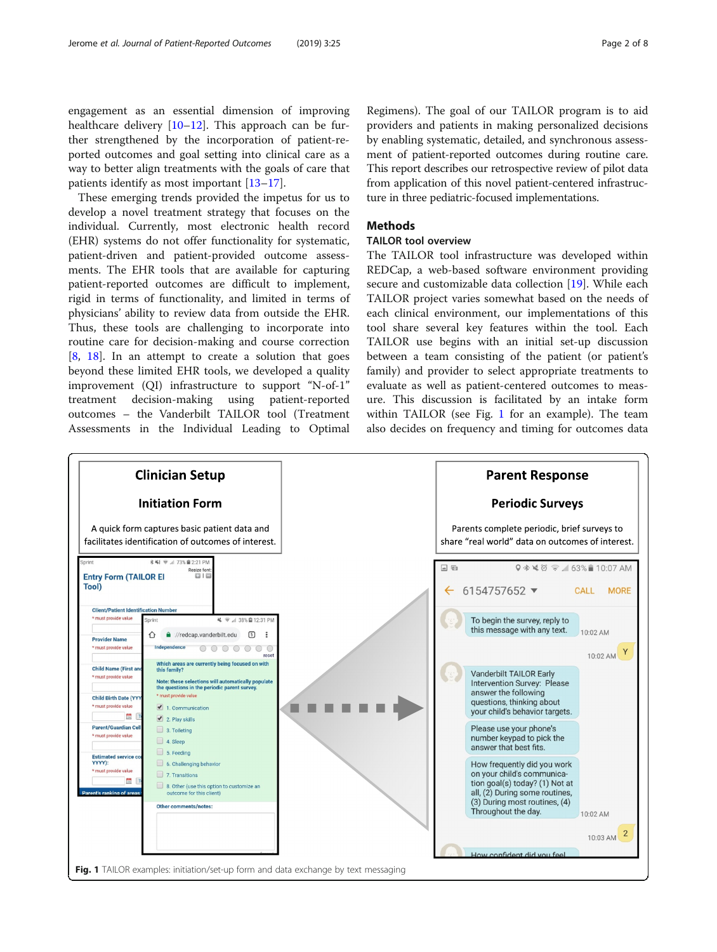<span id="page-1-0"></span>engagement as an essential dimension of improving healthcare delivery  $[10-12]$  $[10-12]$  $[10-12]$  $[10-12]$  $[10-12]$ . This approach can be further strengthened by the incorporation of patient-reported outcomes and goal setting into clinical care as a way to better align treatments with the goals of care that patients identify as most important [[13](#page-6-0)–[17](#page-7-0)].

These emerging trends provided the impetus for us to develop a novel treatment strategy that focuses on the individual. Currently, most electronic health record (EHR) systems do not offer functionality for systematic, patient-driven and patient-provided outcome assessments. The EHR tools that are available for capturing patient-reported outcomes are difficult to implement, rigid in terms of functionality, and limited in terms of physicians' ability to review data from outside the EHR. Thus, these tools are challenging to incorporate into routine care for decision-making and course correction [[8,](#page-6-0) [18](#page-7-0)]. In an attempt to create a solution that goes beyond these limited EHR tools, we developed a quality improvement (QI) infrastructure to support "N-of-1" treatment decision-making using patient-reported outcomes – the Vanderbilt TAILOR tool (Treatment Assessments in the Individual Leading to Optimal

Regimens). The goal of our TAILOR program is to aid providers and patients in making personalized decisions by enabling systematic, detailed, and synchronous assessment of patient-reported outcomes during routine care. This report describes our retrospective review of pilot data from application of this novel patient-centered infrastructure in three pediatric-focused implementations.

## **Methods**

## TAILOR tool overview

The TAILOR tool infrastructure was developed within REDCap, a web-based software environment providing secure and customizable data collection [\[19](#page-7-0)]. While each TAILOR project varies somewhat based on the needs of each clinical environment, our implementations of this tool share several key features within the tool. Each TAILOR use begins with an initial set-up discussion between a team consisting of the patient (or patient's family) and provider to select appropriate treatments to evaluate as well as patient-centered outcomes to measure. This discussion is facilitated by an intake form within TAILOR (see Fig. 1 for an example). The team also decides on frequency and timing for outcomes data

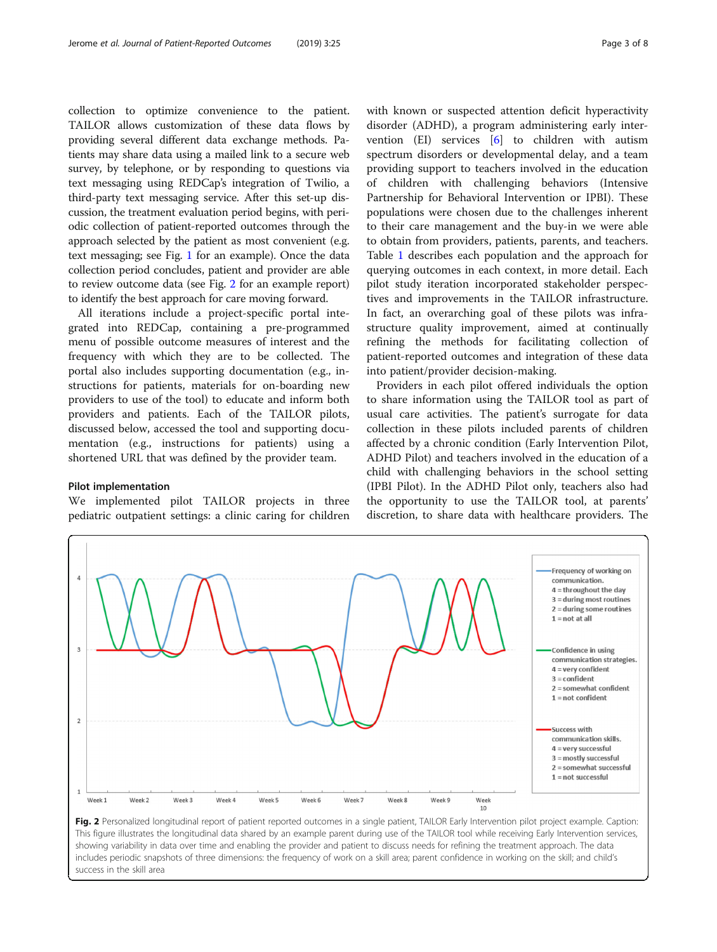collection to optimize convenience to the patient. TAILOR allows customization of these data flows by providing several different data exchange methods. Patients may share data using a mailed link to a secure web survey, by telephone, or by responding to questions via text messaging using REDCap's integration of Twilio, a third-party text messaging service. After this set-up discussion, the treatment evaluation period begins, with periodic collection of patient-reported outcomes through the approach selected by the patient as most convenient (e.g. text messaging; see Fig. [1](#page-1-0) for an example). Once the data collection period concludes, patient and provider are able to review outcome data (see Fig. 2 for an example report) to identify the best approach for care moving forward.

All iterations include a project-specific portal integrated into REDCap, containing a pre-programmed menu of possible outcome measures of interest and the frequency with which they are to be collected. The portal also includes supporting documentation (e.g., instructions for patients, materials for on-boarding new providers to use of the tool) to educate and inform both providers and patients. Each of the TAILOR pilots, discussed below, accessed the tool and supporting documentation (e.g., instructions for patients) using a shortened URL that was defined by the provider team.

## Pilot implementation

We implemented pilot TAILOR projects in three pediatric outpatient settings: a clinic caring for children

with known or suspected attention deficit hyperactivity disorder (ADHD), a program administering early intervention (EI) services [\[6](#page-6-0)] to children with autism spectrum disorders or developmental delay, and a team providing support to teachers involved in the education of children with challenging behaviors (Intensive Partnership for Behavioral Intervention or IPBI). These populations were chosen due to the challenges inherent to their care management and the buy-in we were able to obtain from providers, patients, parents, and teachers. Table [1](#page-3-0) describes each population and the approach for querying outcomes in each context, in more detail. Each pilot study iteration incorporated stakeholder perspectives and improvements in the TAILOR infrastructure. In fact, an overarching goal of these pilots was infrastructure quality improvement, aimed at continually refining the methods for facilitating collection of patient-reported outcomes and integration of these data into patient/provider decision-making.

Providers in each pilot offered individuals the option to share information using the TAILOR tool as part of usual care activities. The patient's surrogate for data collection in these pilots included parents of children affected by a chronic condition (Early Intervention Pilot, ADHD Pilot) and teachers involved in the education of a child with challenging behaviors in the school setting (IPBI Pilot). In the ADHD Pilot only, teachers also had the opportunity to use the TAILOR tool, at parents' discretion, to share data with healthcare providers. The



This figure illustrates the longitudinal data shared by an example parent during use of the TAILOR tool while receiving Early Intervention services, showing variability in data over time and enabling the provider and patient to discuss needs for refining the treatment approach. The data includes periodic snapshots of three dimensions: the frequency of work on a skill area; parent confidence in working on the skill; and child's success in the skill area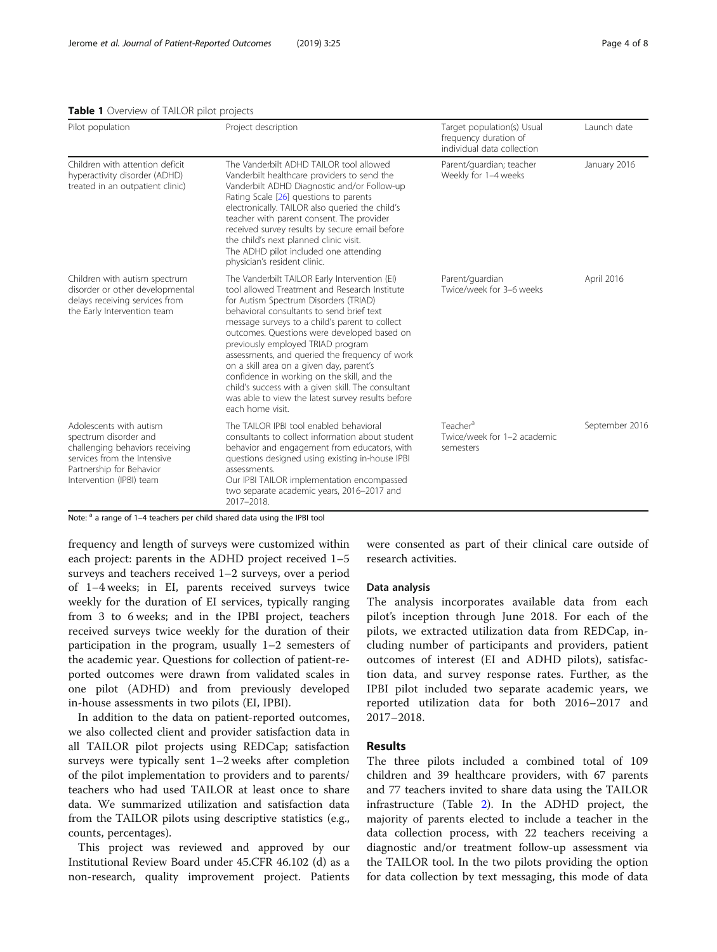<span id="page-3-0"></span>

|  | Table 1 Overview of TAILOR pilot projects |  |  |  |
|--|-------------------------------------------|--|--|--|
|--|-------------------------------------------|--|--|--|

| Pilot population                                                                                                                                                           | Project description                                                                                                                                                                                                                                                                                                                                                                                                                                                                                                                                                                                    | Target population(s) Usual<br>frequency duration of<br>individual data collection | Launch date    |
|----------------------------------------------------------------------------------------------------------------------------------------------------------------------------|--------------------------------------------------------------------------------------------------------------------------------------------------------------------------------------------------------------------------------------------------------------------------------------------------------------------------------------------------------------------------------------------------------------------------------------------------------------------------------------------------------------------------------------------------------------------------------------------------------|-----------------------------------------------------------------------------------|----------------|
| Children with attention deficit<br>hyperactivity disorder (ADHD)<br>treated in an outpatient clinic)                                                                       | The Vanderbilt ADHD TAILOR tool allowed<br>Vanderbilt healthcare providers to send the<br>Vanderbilt ADHD Diagnostic and/or Follow-up<br>Rating Scale [26] questions to parents<br>electronically. TAILOR also queried the child's<br>teacher with parent consent. The provider<br>received survey results by secure email before<br>the child's next planned clinic visit.<br>The ADHD pilot included one attending<br>physician's resident clinic.                                                                                                                                                   | Parent/guardian; teacher<br>Weekly for 1-4 weeks                                  | January 2016   |
| Children with autism spectrum<br>disorder or other developmental<br>delays receiving services from<br>the Early Intervention team                                          | The Vanderbilt TAILOR Early Intervention (EI)<br>tool allowed Treatment and Research Institute<br>for Autism Spectrum Disorders (TRIAD)<br>behavioral consultants to send brief text<br>message surveys to a child's parent to collect<br>outcomes. Questions were developed based on<br>previously employed TRIAD program<br>assessments, and queried the frequency of work<br>on a skill area on a given day, parent's<br>confidence in working on the skill, and the<br>child's success with a given skill. The consultant<br>was able to view the latest survey results before<br>each home visit. | Parent/guardian<br>Twice/week for 3-6 weeks                                       | April 2016     |
| Adolescents with autism<br>spectrum disorder and<br>challenging behaviors receiving<br>services from the Intensive<br>Partnership for Behavior<br>Intervention (IPBI) team | The TAII OR IPBI tool enabled behavioral<br>consultants to collect information about student<br>behavior and engagement from educators, with<br>questions designed using existing in-house IPBI<br>assessments.<br>Our IPBI TAILOR implementation encompassed<br>two separate academic years, 2016-2017 and<br>2017-2018.                                                                                                                                                                                                                                                                              | Teacher <sup>a</sup><br>Twice/week for 1-2 academic<br>semesters                  | September 2016 |

Note: <sup>a</sup> a range of 1-4 teachers per child shared data using the IPBI tool

frequency and length of surveys were customized within each project: parents in the ADHD project received 1–5 surveys and teachers received 1–2 surveys, over a period of 1–4 weeks; in EI, parents received surveys twice weekly for the duration of EI services, typically ranging from 3 to 6 weeks; and in the IPBI project, teachers received surveys twice weekly for the duration of their participation in the program, usually 1–2 semesters of the academic year. Questions for collection of patient-reported outcomes were drawn from validated scales in one pilot (ADHD) and from previously developed in-house assessments in two pilots (EI, IPBI).

In addition to the data on patient-reported outcomes, we also collected client and provider satisfaction data in all TAILOR pilot projects using REDCap; satisfaction surveys were typically sent 1–2 weeks after completion of the pilot implementation to providers and to parents/ teachers who had used TAILOR at least once to share data. We summarized utilization and satisfaction data from the TAILOR pilots using descriptive statistics (e.g., counts, percentages).

This project was reviewed and approved by our Institutional Review Board under 45.CFR 46.102 (d) as a non-research, quality improvement project. Patients were consented as part of their clinical care outside of research activities.

#### Data analysis

The analysis incorporates available data from each pilot's inception through June 2018. For each of the pilots, we extracted utilization data from REDCap, including number of participants and providers, patient outcomes of interest (EI and ADHD pilots), satisfaction data, and survey response rates. Further, as the IPBI pilot included two separate academic years, we reported utilization data for both 2016–2017 and 2017–2018.

## Results

The three pilots included a combined total of 109 children and 39 healthcare providers, with 67 parents and 77 teachers invited to share data using the TAILOR infrastructure (Table [2\)](#page-4-0). In the ADHD project, the majority of parents elected to include a teacher in the data collection process, with 22 teachers receiving a diagnostic and/or treatment follow-up assessment via the TAILOR tool. In the two pilots providing the option for data collection by text messaging, this mode of data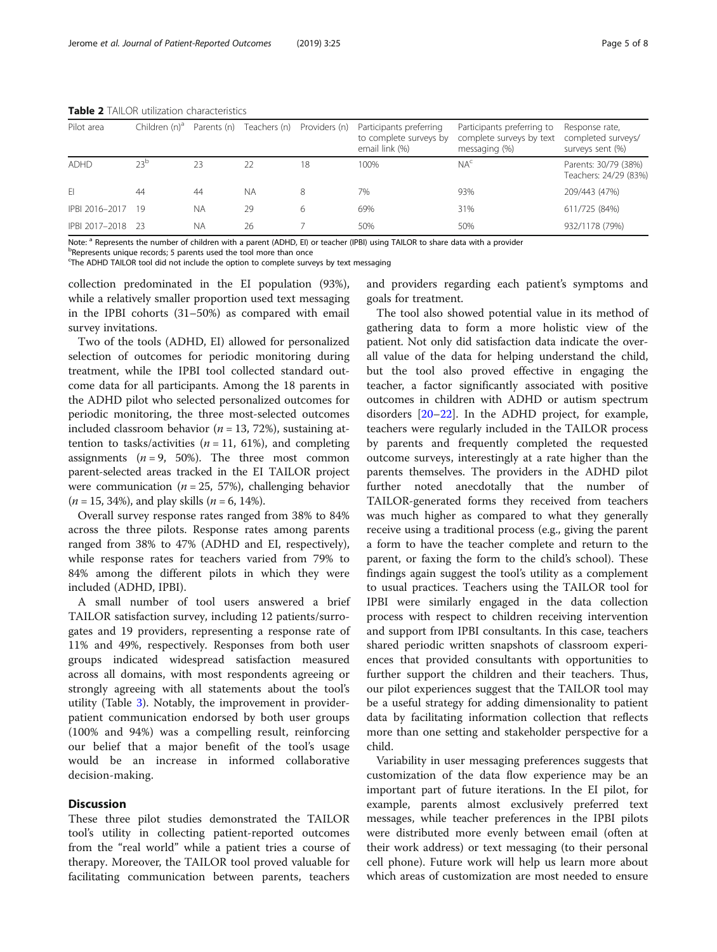| Pilot area     | Children (n) <sup>a</sup> | Parents (n) | Teachers (n) | Providers (n) | Participants preferring<br>to complete surveys by<br>email link (%) | Participants preferring to<br>complete surveys by text<br>messaging (%) | Response rate,<br>completed surveys/<br>surveys sent (%) |
|----------------|---------------------------|-------------|--------------|---------------|---------------------------------------------------------------------|-------------------------------------------------------------------------|----------------------------------------------------------|
| ADHD           | 23 <sup>b</sup>           | 23          | 22           | 18            | 100%                                                                | NA <sup>c</sup>                                                         | Parents: 30/79 (38%)<br>Teachers: 24/29 (83%)            |
| FI             | 44                        | 44          | <b>NA</b>    | 8             | 7%                                                                  | 93%                                                                     | 209/443 (47%)                                            |
| IPBI 2016-2017 | -19                       | <b>NA</b>   | 29           | 6             | 69%                                                                 | 31%                                                                     | 611/725 (84%)                                            |
| IPBI 2017-2018 | - 23                      | <b>NA</b>   | 26           |               | 50%                                                                 | 50%                                                                     | 932/1178 (79%)                                           |

<span id="page-4-0"></span>Table 2 TAILOR utilization characteristics

Note: <sup>a</sup> Represents the number of children with a parent (ADHD, EI) or teacher (IPBI) using TAILOR to share data with a provider

<sup>b</sup>Represents unique records; 5 parents used the tool more than once

<sup>c</sup>The ADHD TAILOR tool did not include the option to complete surveys by text messaging

collection predominated in the EI population (93%), while a relatively smaller proportion used text messaging in the IPBI cohorts (31–50%) as compared with email survey invitations.

Two of the tools (ADHD, EI) allowed for personalized selection of outcomes for periodic monitoring during treatment, while the IPBI tool collected standard outcome data for all participants. Among the 18 parents in the ADHD pilot who selected personalized outcomes for periodic monitoring, the three most-selected outcomes included classroom behavior ( $n = 13, 72\%$ ), sustaining attention to tasks/activities ( $n = 11, 61\%$ ), and completing assignments  $(n = 9, 50\%).$  The three most common parent-selected areas tracked in the EI TAILOR project were communication ( $n = 25, 57\%$ ), challenging behavior  $(n = 15, 34\%)$ , and play skills  $(n = 6, 14\%)$ .

Overall survey response rates ranged from 38% to 84% across the three pilots. Response rates among parents ranged from 38% to 47% (ADHD and EI, respectively), while response rates for teachers varied from 79% to 84% among the different pilots in which they were included (ADHD, IPBI).

A small number of tool users answered a brief TAILOR satisfaction survey, including 12 patients/surrogates and 19 providers, representing a response rate of 11% and 49%, respectively. Responses from both user groups indicated widespread satisfaction measured across all domains, with most respondents agreeing or strongly agreeing with all statements about the tool's utility (Table [3](#page-5-0)). Notably, the improvement in providerpatient communication endorsed by both user groups (100% and 94%) was a compelling result, reinforcing our belief that a major benefit of the tool's usage would be an increase in informed collaborative decision-making.

#### **Discussion**

These three pilot studies demonstrated the TAILOR tool's utility in collecting patient-reported outcomes from the "real world" while a patient tries a course of therapy. Moreover, the TAILOR tool proved valuable for facilitating communication between parents, teachers and providers regarding each patient's symptoms and goals for treatment.

The tool also showed potential value in its method of gathering data to form a more holistic view of the patient. Not only did satisfaction data indicate the overall value of the data for helping understand the child, but the tool also proved effective in engaging the teacher, a factor significantly associated with positive outcomes in children with ADHD or autism spectrum disorders [\[20](#page-7-0)–[22\]](#page-7-0). In the ADHD project, for example, teachers were regularly included in the TAILOR process by parents and frequently completed the requested outcome surveys, interestingly at a rate higher than the parents themselves. The providers in the ADHD pilot further noted anecdotally that the number of TAILOR-generated forms they received from teachers was much higher as compared to what they generally receive using a traditional process (e.g., giving the parent a form to have the teacher complete and return to the parent, or faxing the form to the child's school). These findings again suggest the tool's utility as a complement to usual practices. Teachers using the TAILOR tool for IPBI were similarly engaged in the data collection process with respect to children receiving intervention and support from IPBI consultants. In this case, teachers shared periodic written snapshots of classroom experiences that provided consultants with opportunities to further support the children and their teachers. Thus, our pilot experiences suggest that the TAILOR tool may be a useful strategy for adding dimensionality to patient data by facilitating information collection that reflects more than one setting and stakeholder perspective for a child.

Variability in user messaging preferences suggests that customization of the data flow experience may be an important part of future iterations. In the EI pilot, for example, parents almost exclusively preferred text messages, while teacher preferences in the IPBI pilots were distributed more evenly between email (often at their work address) or text messaging (to their personal cell phone). Future work will help us learn more about which areas of customization are most needed to ensure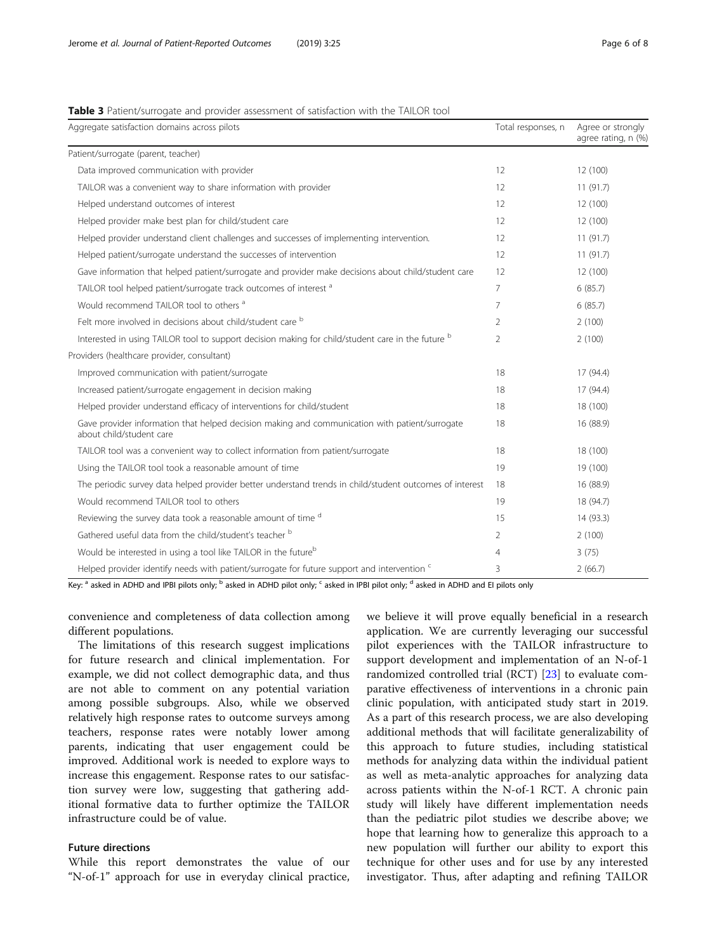## <span id="page-5-0"></span>Table 3 Patient/surrogate and provider assessment of satisfaction with the TAILOR tool

| Aggregate satisfaction domains across pilots                                                                               | Total responses, n | Agree or strongly<br>agree rating, n (%) |
|----------------------------------------------------------------------------------------------------------------------------|--------------------|------------------------------------------|
| Patient/surrogate (parent, teacher)                                                                                        |                    |                                          |
| Data improved communication with provider                                                                                  | 12                 | 12 (100)                                 |
| TAILOR was a convenient way to share information with provider                                                             | 12                 | 11(91.7)                                 |
| Helped understand outcomes of interest                                                                                     | 12                 | 12 (100)                                 |
| Helped provider make best plan for child/student care                                                                      | 12                 | 12 (100)                                 |
| Helped provider understand client challenges and successes of implementing intervention.                                   | 12                 | 11(91.7)                                 |
| Helped patient/surrogate understand the successes of intervention                                                          | 12                 | 11(91.7)                                 |
| Gave information that helped patient/surrogate and provider make decisions about child/student care                        | 12                 | 12 (100)                                 |
| TAILOR tool helped patient/surrogate track outcomes of interest <sup>a</sup>                                               | $\overline{7}$     | 6(85.7)                                  |
| Would recommend TAILOR tool to others <sup>a</sup>                                                                         | $\overline{7}$     | 6(85.7)                                  |
| Felt more involved in decisions about child/student care b                                                                 | $\overline{2}$     | 2(100)                                   |
| Interested in using TAILOR tool to support decision making for child/student care in the future b                          | $\overline{2}$     | 2(100)                                   |
| Providers (healthcare provider, consultant)                                                                                |                    |                                          |
| Improved communication with patient/surrogate                                                                              | 18                 | 17 (94.4)                                |
| Increased patient/surrogate engagement in decision making                                                                  | 18                 | 17 (94.4)                                |
| Helped provider understand efficacy of interventions for child/student                                                     | 18                 | 18 (100)                                 |
| Gave provider information that helped decision making and communication with patient/surrogate<br>about child/student care | 18                 | 16 (88.9)                                |
| TAILOR tool was a convenient way to collect information from patient/surrogate                                             | 18                 | 18 (100)                                 |
| Using the TAILOR tool took a reasonable amount of time                                                                     | 19                 | 19 (100)                                 |
| The periodic survey data helped provider better understand trends in child/student outcomes of interest                    | 18                 | 16 (88.9)                                |
| Would recommend TAILOR tool to others                                                                                      | 19                 | 18 (94.7)                                |
| Reviewing the survey data took a reasonable amount of time d                                                               | 15                 | 14 (93.3)                                |
| Gathered useful data from the child/student's teacher b                                                                    | 2                  | 2(100)                                   |
| Would be interested in using a tool like TAILOR in the future <sup>b</sup>                                                 | $\overline{4}$     | 3(75)                                    |
| Helped provider identify needs with patient/surrogate for future support and intervention <sup>c</sup>                     | 3                  | 2(66.7)                                  |

Key: <sup>a</sup> asked in ADHD and IPBI pilots only; <sup>b</sup> asked in ADHD pilot only; <sup>c</sup> asked in IPBI pilot only; <sup>d</sup> asked in ADHD and EI pilots only

convenience and completeness of data collection among different populations.

The limitations of this research suggest implications for future research and clinical implementation. For example, we did not collect demographic data, and thus are not able to comment on any potential variation among possible subgroups. Also, while we observed relatively high response rates to outcome surveys among teachers, response rates were notably lower among parents, indicating that user engagement could be improved. Additional work is needed to explore ways to increase this engagement. Response rates to our satisfaction survey were low, suggesting that gathering additional formative data to further optimize the TAILOR infrastructure could be of value.

## Future directions

While this report demonstrates the value of our "N-of-1" approach for use in everyday clinical practice, we believe it will prove equally beneficial in a research application. We are currently leveraging our successful pilot experiences with the TAILOR infrastructure to support development and implementation of an N-of-1 randomized controlled trial (RCT) [\[23\]](#page-7-0) to evaluate comparative effectiveness of interventions in a chronic pain clinic population, with anticipated study start in 2019. As a part of this research process, we are also developing additional methods that will facilitate generalizability of this approach to future studies, including statistical methods for analyzing data within the individual patient as well as meta-analytic approaches for analyzing data across patients within the N-of-1 RCT. A chronic pain study will likely have different implementation needs than the pediatric pilot studies we describe above; we hope that learning how to generalize this approach to a new population will further our ability to export this technique for other uses and for use by any interested investigator. Thus, after adapting and refining TAILOR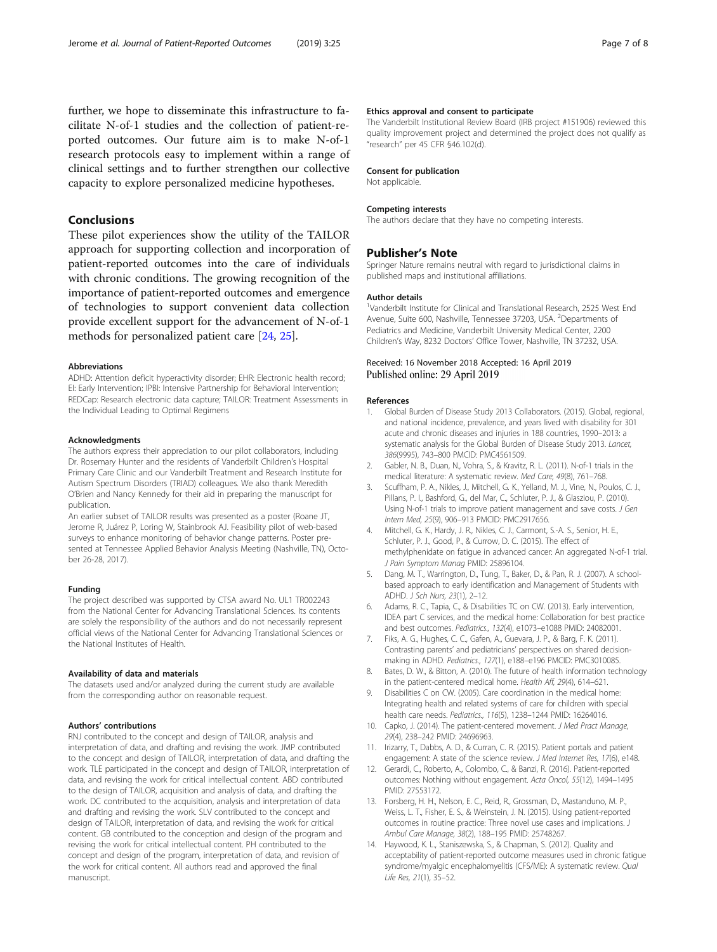<span id="page-6-0"></span>further, we hope to disseminate this infrastructure to facilitate N-of-1 studies and the collection of patient-reported outcomes. Our future aim is to make N-of-1 research protocols easy to implement within a range of clinical settings and to further strengthen our collective capacity to explore personalized medicine hypotheses.

## Conclusions

These pilot experiences show the utility of the TAILOR approach for supporting collection and incorporation of patient-reported outcomes into the care of individuals with chronic conditions. The growing recognition of the importance of patient-reported outcomes and emergence of technologies to support convenient data collection provide excellent support for the advancement of N-of-1 methods for personalized patient care [[24](#page-7-0), [25](#page-7-0)].

#### Abbreviations

ADHD: Attention deficit hyperactivity disorder; EHR: Electronic health record; EI: Early Intervention; IPBI: Intensive Partnership for Behavioral Intervention; REDCap: Research electronic data capture; TAILOR: Treatment Assessments in the Individual Leading to Optimal Regimens

#### Acknowledgments

The authors express their appreciation to our pilot collaborators, including Dr. Rosemary Hunter and the residents of Vanderbilt Children's Hospital Primary Care Clinic and our Vanderbilt Treatment and Research Institute for Autism Spectrum Disorders (TRIAD) colleagues. We also thank Meredith O'Brien and Nancy Kennedy for their aid in preparing the manuscript for publication.

An earlier subset of TAILOR results was presented as a poster (Roane JT, Jerome R, Juárez P, Loring W, Stainbrook AJ. Feasibility pilot of web-based surveys to enhance monitoring of behavior change patterns. Poster presented at Tennessee Applied Behavior Analysis Meeting (Nashville, TN), October 26-28, 2017).

#### Funding

The project described was supported by CTSA award No. UL1 TR002243 from the National Center for Advancing Translational Sciences. Its contents are solely the responsibility of the authors and do not necessarily represent official views of the National Center for Advancing Translational Sciences or the National Institutes of Health.

#### Availability of data and materials

The datasets used and/or analyzed during the current study are available from the corresponding author on reasonable request.

#### Authors' contributions

RNJ contributed to the concept and design of TAILOR, analysis and interpretation of data, and drafting and revising the work. JMP contributed to the concept and design of TAILOR, interpretation of data, and drafting the work. TLE participated in the concept and design of TAILOR, interpretation of data, and revising the work for critical intellectual content. ABD contributed to the design of TAILOR, acquisition and analysis of data, and drafting the work. DC contributed to the acquisition, analysis and interpretation of data and drafting and revising the work. SLV contributed to the concept and design of TAILOR, interpretation of data, and revising the work for critical content. GB contributed to the conception and design of the program and revising the work for critical intellectual content. PH contributed to the concept and design of the program, interpretation of data, and revision of the work for critical content. All authors read and approved the final manuscript.

#### Ethics approval and consent to participate

The Vanderbilt Institutional Review Board (IRB project #151906) reviewed this quality improvement project and determined the project does not qualify as "research" per 45 CFR §46.102(d).

#### Consent for publication

Not applicable.

#### Competing interests

The authors declare that they have no competing interests.

#### Publisher's Note

Springer Nature remains neutral with regard to jurisdictional claims in published maps and institutional affiliations.

#### Author details

<sup>1</sup>Vanderbilt Institute for Clinical and Translational Research, 2525 West End Avenue, Suite 600, Nashville, Tennessee 37203, USA. <sup>2</sup>Departments of Pediatrics and Medicine, Vanderbilt University Medical Center, 2200 Children's Way, 8232 Doctors' Office Tower, Nashville, TN 37232, USA.

## Received: 16 November 2018 Accepted: 16 April 2019 Published online: 29 April 2019

#### References

- 1. Global Burden of Disease Study 2013 Collaborators. (2015). Global, regional, and national incidence, prevalence, and years lived with disability for 301 acute and chronic diseases and injuries in 188 countries, 1990–2013: a systematic analysis for the Global Burden of Disease Study 2013. Lancet, 386(9995), 743–800 PMCID: PMC4561509.
- 2. Gabler, N. B., Duan, N., Vohra, S., & Kravitz, R. L. (2011). N-of-1 trials in the medical literature: A systematic review. Med Care, 49(8), 761–768.
- 3. Scuffham, P. A., Nikles, J., Mitchell, G. K., Yelland, M. J., Vine, N., Poulos, C. J., Pillans, P. I., Bashford, G., del Mar, C., Schluter, P. J., & Glasziou, P. (2010). Using N-of-1 trials to improve patient management and save costs. J Gen Intern Med, 25(9), 906–913 PMCID: PMC2917656.
- 4. Mitchell, G. K., Hardy, J. R., Nikles, C. J., Carmont, S.-A. S., Senior, H. E., Schluter, P. J., Good, P., & Currow, D. C. (2015). The effect of methylphenidate on fatigue in advanced cancer: An aggregated N-of-1 trial. J Pain Symptom Manag PMID: 25896104.
- 5. Dang, M. T., Warrington, D., Tung, T., Baker, D., & Pan, R. J. (2007). A schoolbased approach to early identification and Management of Students with ADHD. J Sch Nurs, 23(1), 2–12.
- 6. Adams, R. C., Tapia, C., & Disabilities TC on CW. (2013). Early intervention, IDEA part C services, and the medical home: Collaboration for best practice and best outcomes. Pediatrics., 132(4), e1073–e1088 PMID: 24082001.
- 7. Fiks, A. G., Hughes, C. C., Gafen, A., Guevara, J. P., & Barg, F. K. (2011). Contrasting parents' and pediatricians' perspectives on shared decisionmaking in ADHD. Pediatrics., 127(1), e188–e196 PMCID: PMC3010085.
- 8. Bates, D. W., & Bitton, A. (2010). The future of health information technology in the patient-centered medical home. Health Aff, 29(4), 614–621.
- 9. Disabilities C on CW. (2005). Care coordination in the medical home: Integrating health and related systems of care for children with special health care needs. Pediatrics., 116(5), 1238–1244 PMID: 16264016.
- 10. Capko, J. (2014). The patient-centered movement. J Med Pract Manage, 29(4), 238–242 PMID: 24696963.
- 11. Irizarry, T., Dabbs, A. D., & Curran, C. R. (2015). Patient portals and patient engagement: A state of the science review. J Med Internet Res, 17(6), e148.
- 12. Gerardi, C., Roberto, A., Colombo, C., & Banzi, R. (2016). Patient-reported outcomes: Nothing without engagement. Acta Oncol, 55(12), 1494–1495 PMID: 27553172.
- 13. Forsberg, H. H., Nelson, E. C., Reid, R., Grossman, D., Mastanduno, M. P., Weiss, L. T., Fisher, E. S., & Weinstein, J. N. (2015). Using patient-reported outcomes in routine practice: Three novel use cases and implications. J Ambul Care Manage, 38(2), 188–195 PMID: 25748267.
- 14. Haywood, K. L., Staniszewska, S., & Chapman, S. (2012). Quality and acceptability of patient-reported outcome measures used in chronic fatigue syndrome/myalgic encephalomyelitis (CFS/ME): A systematic review. Qual Life Res, 21(1), 35–52.